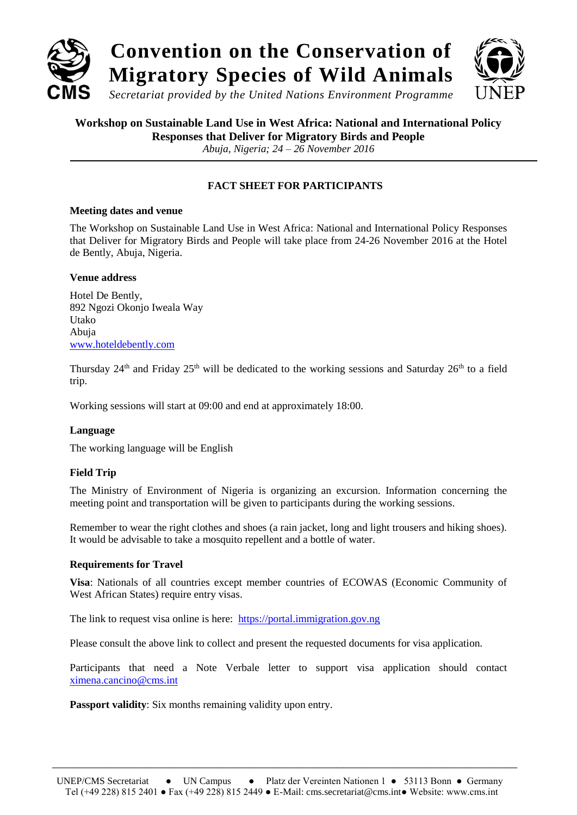

# **Workshop on Sustainable Land Use in West Africa: National and International Policy**

**Responses that Deliver for Migratory Birds and People**

*Abuja, Nigeria; 24 – 26 November 2016*

# **FACT SHEET FOR PARTICIPANTS**

#### **Meeting dates and venue**

The Workshop on Sustainable Land Use in West Africa: National and International Policy Responses that Deliver for Migratory Birds and People will take place from 24-26 November 2016 at the Hotel de Bently, Abuja, Nigeria.

### **Venue address**

Hotel De Bently, 892 Ngozi Okonjo Iweala Way Utako Abuja [www.hoteldebently.com](http://www.hoteldebently.com/)

Thursday 24<sup>th</sup> and Friday 25<sup>th</sup> will be dedicated to the working sessions and Saturday 26<sup>th</sup> to a field trip.

Working sessions will start at 09:00 and end at approximately 18:00.

# **Language**

The working language will be English

# **Field Trip**

The Ministry of Environment of Nigeria is organizing an excursion. Information concerning the meeting point and transportation will be given to participants during the working sessions.

Remember to wear the right clothes and shoes (a rain jacket, long and light trousers and hiking shoes). It would be advisable to take a mosquito repellent and a bottle of water.

# **Requirements for Travel**

**Visa**: Nationals of all countries except member countries of ECOWAS (Economic Community of West African States) require entry visas.

The link to request visa online is here: [https://portal.immigration.gov.ng](https://portal.immigration.gov.ng/)

Please consult the above link to collect and present the requested documents for visa application.

Participants that need a Note Verbale letter to support visa application should contact [ximena.cancino@cms.int](mailto:ximena.cancino@cms.int)

**Passport validity**: Six months remaining validity upon entry.

\_\_\_\_\_\_\_\_\_\_\_\_\_\_\_\_\_\_\_\_\_\_\_\_\_\_\_\_\_\_\_\_\_\_\_\_\_\_\_\_\_\_\_\_\_\_\_\_\_\_\_\_\_\_\_\_\_\_\_\_\_\_\_\_\_\_\_\_\_\_\_\_\_\_\_\_\_\_\_\_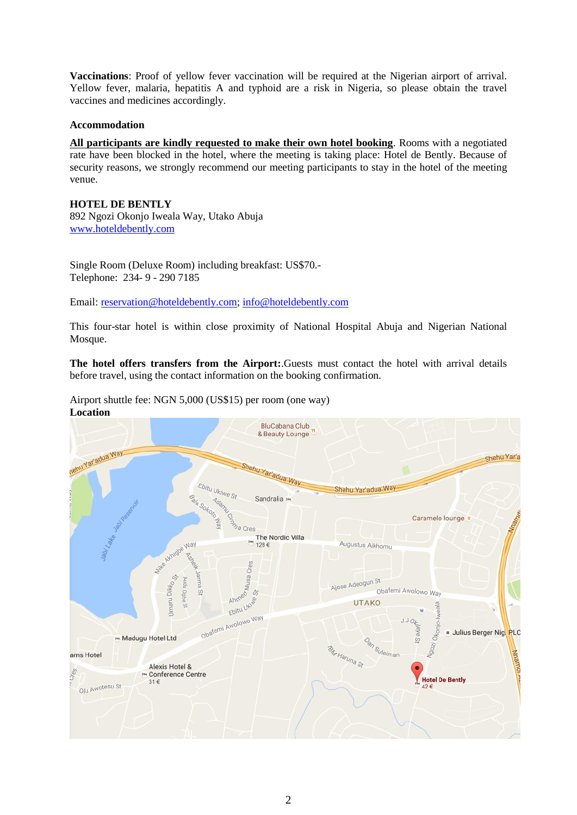**Vaccinations**: Proof of yellow fever vaccination will be required at the Nigerian airport of arrival. Yellow fever, malaria, hepatitis A and typhoid are a risk in Nigeria, so please obtain the travel vaccines and medicines accordingly.

#### **Accommodation**

**All participants are kindly requested to make their own hotel booking**. Rooms with a negotiated rate have been blocked in the hotel, where the meeting is taking place: Hotel de Bently. Because of security reasons, we strongly recommend our meeting participants to stay in the hotel of the meeting venue.

**HOTEL DE BENTLY** 892 Ngozi Okonjo Iweala Way, Utako Abuja [www.hoteldebently.com](http://www.hoteldebently.com/)

Single Room (Deluxe Room) including breakfast: US\$70.- Telephone: 234- 9 - 290 7185

Email: [reservation@hoteldebently.com;](mailto:reservation@hoteldebently.com) [info@hoteldebently.com](mailto:info@hoteldebently.com)

This four-star hotel is within close proximity of National Hospital Abuja and Nigerian National Mosque.

**The hotel offers transfers from the Airport:**.Guests must contact the hotel with arrival details before travel, using the contact information on the booking confirmation.

Airport shuttle fee: NGN 5,000 (US\$15) per room (one way) **Location**